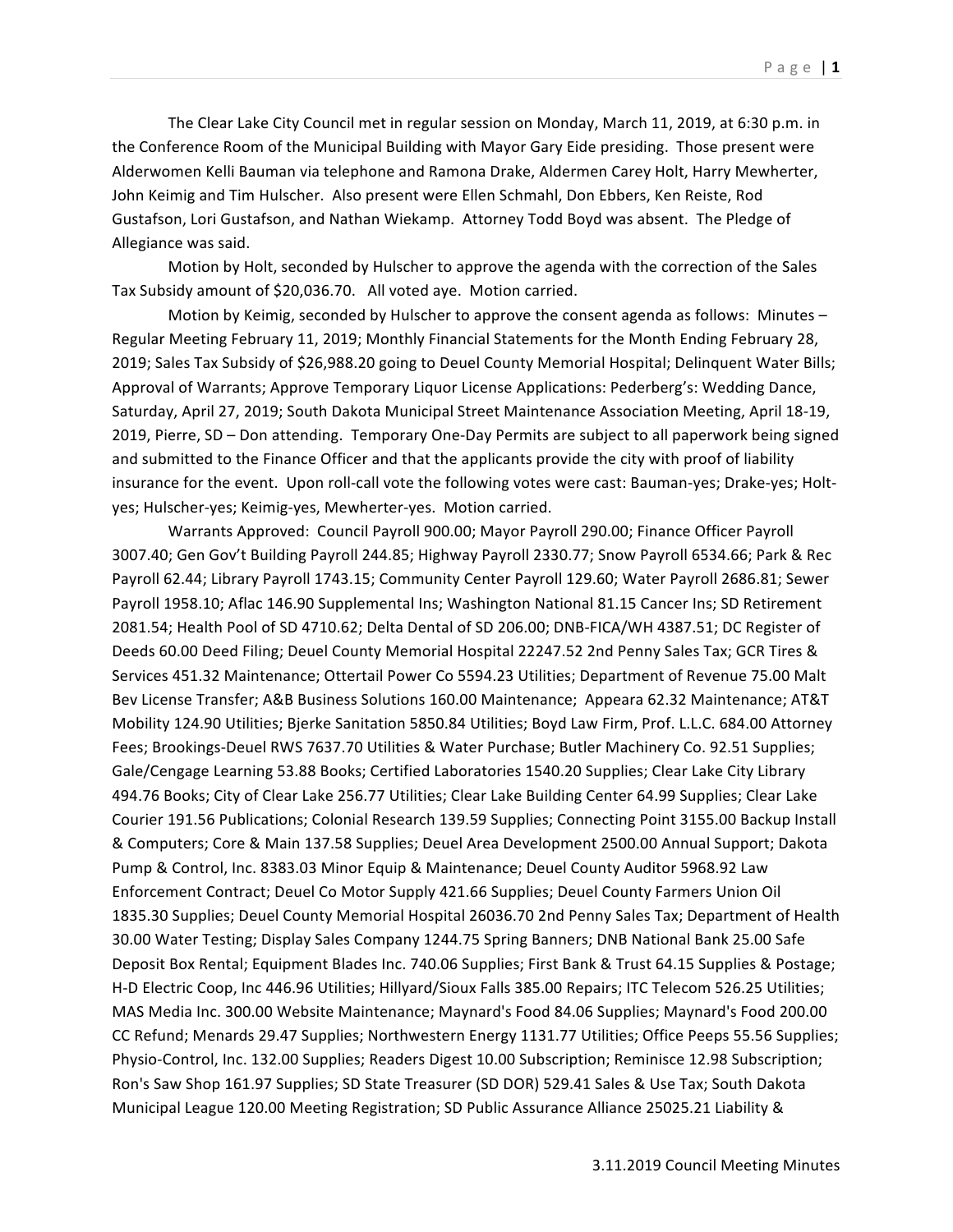The Clear Lake City Council met in regular session on Monday, March 11, 2019, at 6:30 p.m. in the Conference Room of the Municipal Building with Mayor Gary Eide presiding. Those present were Alderwomen Kelli Bauman via telephone and Ramona Drake, Aldermen Carey Holt, Harry Mewherter, John Keimig and Tim Hulscher. Also present were Ellen Schmahl, Don Ebbers, Ken Reiste, Rod Gustafson, Lori Gustafson, and Nathan Wiekamp. Attorney Todd Boyd was absent. The Pledge of Allegiance was said.

Motion by Holt, seconded by Hulscher to approve the agenda with the correction of the Sales Tax Subsidy amount of \$20,036.70. All voted aye. Motion carried.

Motion by Keimig, seconded by Hulscher to approve the consent agenda as follows: Minutes  $-$ Regular Meeting February 11, 2019; Monthly Financial Statements for the Month Ending February 28, 2019; Sales Tax Subsidy of \$26,988.20 going to Deuel County Memorial Hospital; Delinquent Water Bills; Approval of Warrants; Approve Temporary Liquor License Applications: Pederberg's: Wedding Dance, Saturday, April 27, 2019; South Dakota Municipal Street Maintenance Association Meeting, April 18-19, 2019, Pierre, SD - Don attending. Temporary One-Day Permits are subject to all paperwork being signed and submitted to the Finance Officer and that the applicants provide the city with proof of liability insurance for the event. Upon roll-call vote the following votes were cast: Bauman-yes; Drake-yes; Holtyes; Hulscher-yes; Keimig-yes, Mewherter-yes. Motion carried.

Warrants Approved: Council Payroll 900.00; Mayor Payroll 290.00; Finance Officer Payroll 3007.40; Gen Gov't Building Payroll 244.85; Highway Payroll 2330.77; Snow Payroll 6534.66; Park & Rec Payroll 62.44; Library Payroll 1743.15; Community Center Payroll 129.60; Water Payroll 2686.81; Sewer Payroll 1958.10; Aflac 146.90 Supplemental Ins; Washington National 81.15 Cancer Ins; SD Retirement 2081.54; Health Pool of SD 4710.62; Delta Dental of SD 206.00; DNB-FICA/WH 4387.51; DC Register of Deeds 60.00 Deed Filing; Deuel County Memorial Hospital 22247.52 2nd Penny Sales Tax; GCR Tires & Services 451.32 Maintenance; Ottertail Power Co 5594.23 Utilities; Department of Revenue 75.00 Malt Bev License Transfer; A&B Business Solutions 160.00 Maintenance; Appeara 62.32 Maintenance; AT&T Mobility 124.90 Utilities; Bjerke Sanitation 5850.84 Utilities; Boyd Law Firm, Prof. L.L.C. 684.00 Attorney Fees; Brookings-Deuel RWS 7637.70 Utilities & Water Purchase; Butler Machinery Co. 92.51 Supplies; Gale/Cengage Learning 53.88 Books; Certified Laboratories 1540.20 Supplies; Clear Lake City Library 494.76 Books; City of Clear Lake 256.77 Utilities; Clear Lake Building Center 64.99 Supplies; Clear Lake Courier 191.56 Publications; Colonial Research 139.59 Supplies; Connecting Point 3155.00 Backup Install & Computers; Core & Main 137.58 Supplies; Deuel Area Development 2500.00 Annual Support; Dakota Pump & Control, Inc. 8383.03 Minor Equip & Maintenance; Deuel County Auditor 5968.92 Law Enforcement Contract; Deuel Co Motor Supply 421.66 Supplies; Deuel County Farmers Union Oil 1835.30 Supplies; Deuel County Memorial Hospital 26036.70 2nd Penny Sales Tax; Department of Health 30.00 Water Testing; Display Sales Company 1244.75 Spring Banners; DNB National Bank 25.00 Safe Deposit Box Rental; Equipment Blades Inc. 740.06 Supplies; First Bank & Trust 64.15 Supplies & Postage; H-D Electric Coop, Inc 446.96 Utilities; Hillyard/Sioux Falls 385.00 Repairs; ITC Telecom 526.25 Utilities; MAS Media Inc. 300.00 Website Maintenance; Maynard's Food 84.06 Supplies; Maynard's Food 200.00 CC Refund; Menards 29.47 Supplies; Northwestern Energy 1131.77 Utilities; Office Peeps 55.56 Supplies; Physio-Control, Inc. 132.00 Supplies; Readers Digest 10.00 Subscription; Reminisce 12.98 Subscription; Ron's Saw Shop 161.97 Supplies; SD State Treasurer (SD DOR) 529.41 Sales & Use Tax; South Dakota Municipal League 120.00 Meeting Registration; SD Public Assurance Alliance 25025.21 Liability &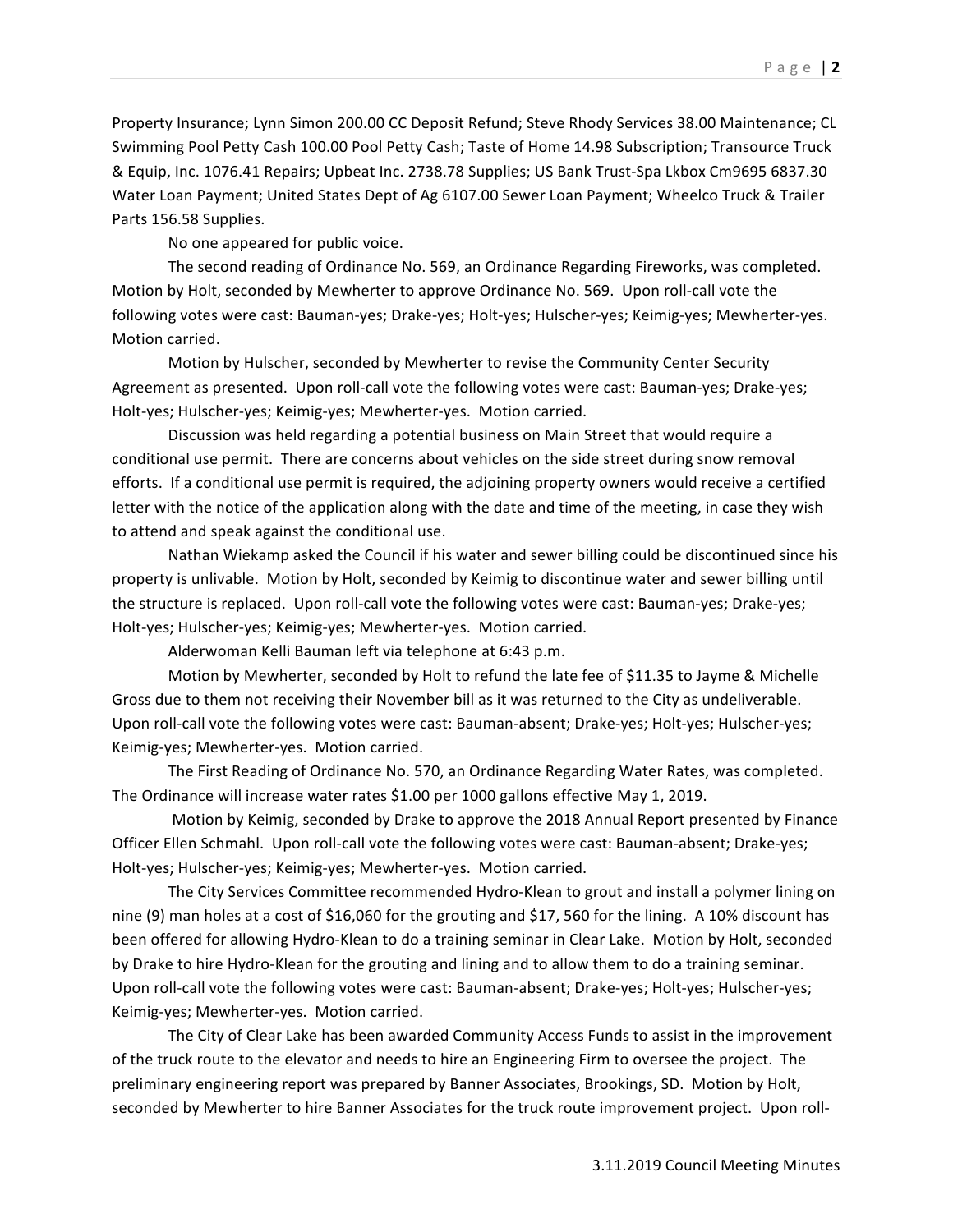Property Insurance; Lynn Simon 200.00 CC Deposit Refund; Steve Rhody Services 38.00 Maintenance; CL Swimming Pool Petty Cash 100.00 Pool Petty Cash; Taste of Home 14.98 Subscription; Transource Truck & Equip, Inc. 1076.41 Repairs; Upbeat Inc. 2738.78 Supplies; US Bank Trust-Spa Lkbox Cm9695 6837.30 Water Loan Payment; United States Dept of Ag 6107.00 Sewer Loan Payment; Wheelco Truck & Trailer Parts 156.58 Supplies.

No one appeared for public voice.

The second reading of Ordinance No. 569, an Ordinance Regarding Fireworks, was completed. Motion by Holt, seconded by Mewherter to approve Ordinance No. 569. Upon roll-call vote the following votes were cast: Bauman-yes; Drake-yes; Holt-yes; Hulscher-yes; Keimig-yes; Mewherter-yes. Motion carried.

Motion by Hulscher, seconded by Mewherter to revise the Community Center Security Agreement as presented. Upon roll-call vote the following votes were cast: Bauman-yes; Drake-yes; Holt-yes; Hulscher-yes; Keimig-yes; Mewherter-yes. Motion carried.

Discussion was held regarding a potential business on Main Street that would require a conditional use permit. There are concerns about vehicles on the side street during snow removal efforts. If a conditional use permit is required, the adjoining property owners would receive a certified letter with the notice of the application along with the date and time of the meeting, in case they wish to attend and speak against the conditional use.

Nathan Wiekamp asked the Council if his water and sewer billing could be discontinued since his property is unlivable. Motion by Holt, seconded by Keimig to discontinue water and sewer billing until the structure is replaced. Upon roll-call vote the following votes were cast: Bauman-yes; Drake-yes; Holt-yes; Hulscher-yes; Keimig-yes; Mewherter-yes. Motion carried.

Alderwoman Kelli Bauman left via telephone at 6:43 p.m.

Motion by Mewherter, seconded by Holt to refund the late fee of \$11.35 to Jayme & Michelle Gross due to them not receiving their November bill as it was returned to the City as undeliverable. Upon roll-call vote the following votes were cast: Bauman-absent; Drake-yes; Holt-yes; Hulscher-yes; Keimig-yes; Mewherter-yes. Motion carried.

The First Reading of Ordinance No. 570, an Ordinance Regarding Water Rates, was completed. The Ordinance will increase water rates \$1.00 per 1000 gallons effective May 1, 2019.

Motion by Keimig, seconded by Drake to approve the 2018 Annual Report presented by Finance Officer Ellen Schmahl. Upon roll-call vote the following votes were cast: Bauman-absent; Drake-yes; Holt-yes; Hulscher-yes; Keimig-yes; Mewherter-yes. Motion carried.

The City Services Committee recommended Hydro-Klean to grout and install a polymer lining on nine (9) man holes at a cost of \$16,060 for the grouting and \$17, 560 for the lining. A 10% discount has been offered for allowing Hydro-Klean to do a training seminar in Clear Lake. Motion by Holt, seconded by Drake to hire Hydro-Klean for the grouting and lining and to allow them to do a training seminar. Upon roll-call vote the following votes were cast: Bauman-absent; Drake-yes; Holt-yes; Hulscher-yes; Keimig-yes; Mewherter-yes. Motion carried.

The City of Clear Lake has been awarded Community Access Funds to assist in the improvement of the truck route to the elevator and needs to hire an Engineering Firm to oversee the project. The preliminary engineering report was prepared by Banner Associates, Brookings, SD. Motion by Holt, seconded by Mewherter to hire Banner Associates for the truck route improvement project. Upon roll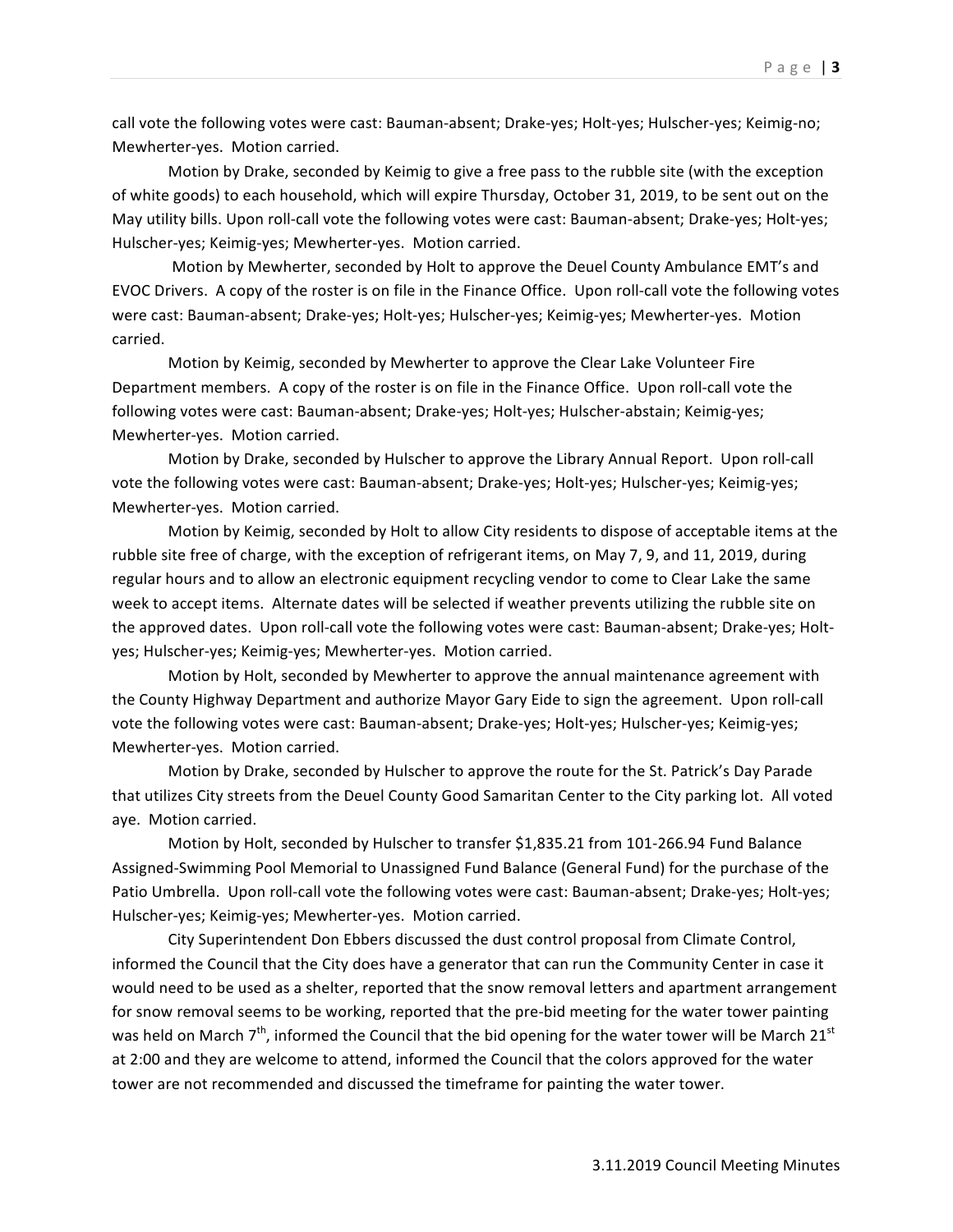call vote the following votes were cast: Bauman-absent; Drake-yes; Holt-yes; Hulscher-yes; Keimig-no; Mewherter-yes. Motion carried.

Motion by Drake, seconded by Keimig to give a free pass to the rubble site (with the exception of white goods) to each household, which will expire Thursday, October 31, 2019, to be sent out on the May utility bills. Upon roll-call vote the following votes were cast: Bauman-absent; Drake-yes; Holt-yes; Hulscher-yes; Keimig-yes; Mewherter-yes. Motion carried.

Motion by Mewherter, seconded by Holt to approve the Deuel County Ambulance EMT's and EVOC Drivers. A copy of the roster is on file in the Finance Office. Upon roll-call vote the following votes were cast: Bauman-absent; Drake-yes; Holt-yes; Hulscher-yes; Keimig-yes; Mewherter-yes. Motion carried.

Motion by Keimig, seconded by Mewherter to approve the Clear Lake Volunteer Fire Department members. A copy of the roster is on file in the Finance Office. Upon roll-call vote the following votes were cast: Bauman-absent; Drake-yes; Holt-yes; Hulscher-abstain; Keimig-yes; Mewherter-yes. Motion carried.

Motion by Drake, seconded by Hulscher to approve the Library Annual Report. Upon roll-call vote the following votes were cast: Bauman-absent; Drake-yes; Holt-yes; Hulscher-yes; Keimig-yes; Mewherter-yes. Motion carried.

Motion by Keimig, seconded by Holt to allow City residents to dispose of acceptable items at the rubble site free of charge, with the exception of refrigerant items, on May 7, 9, and 11, 2019, during regular hours and to allow an electronic equipment recycling vendor to come to Clear Lake the same week to accept items. Alternate dates will be selected if weather prevents utilizing the rubble site on the approved dates. Upon roll-call vote the following votes were cast: Bauman-absent; Drake-yes; Holtyes; Hulscher-yes; Keimig-yes; Mewherter-yes. Motion carried.

Motion by Holt, seconded by Mewherter to approve the annual maintenance agreement with the County Highway Department and authorize Mayor Gary Eide to sign the agreement. Upon roll-call vote the following votes were cast: Bauman-absent; Drake-yes; Holt-yes; Hulscher-yes; Keimig-yes; Mewherter-yes. Motion carried.

Motion by Drake, seconded by Hulscher to approve the route for the St. Patrick's Day Parade that utilizes City streets from the Deuel County Good Samaritan Center to the City parking lot. All voted aye. Motion carried.

Motion by Holt, seconded by Hulscher to transfer \$1,835.21 from 101-266.94 Fund Balance Assigned-Swimming Pool Memorial to Unassigned Fund Balance (General Fund) for the purchase of the Patio Umbrella. Upon roll-call vote the following votes were cast: Bauman-absent; Drake-yes; Holt-yes; Hulscher-yes; Keimig-yes; Mewherter-yes. Motion carried.

City Superintendent Don Ebbers discussed the dust control proposal from Climate Control, informed the Council that the City does have a generator that can run the Community Center in case it would need to be used as a shelter, reported that the snow removal letters and apartment arrangement for snow removal seems to be working, reported that the pre-bid meeting for the water tower painting was held on March  $7<sup>th</sup>$ , informed the Council that the bid opening for the water tower will be March 21<sup>st</sup> at 2:00 and they are welcome to attend, informed the Council that the colors approved for the water tower are not recommended and discussed the timeframe for painting the water tower.